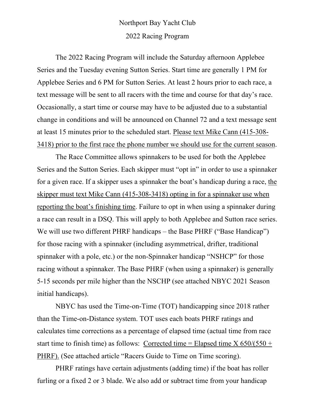## Northport Bay Yacht Club 2022 Racing Program

The 2022 Racing Program will include the Saturday afternoon Applebee Series and the Tuesday evening Sutton Series. Start time are generally 1 PM for Applebee Series and 6 PM for Sutton Series. At least 2 hours prior to each race, a text message will be sent to all racers with the time and course for that day's race. Occasionally, a start time or course may have to be adjusted due to a substantial change in conditions and will be announced on Channel 72 and a text message sent at least 15 minutes prior to the scheduled start. Please text Mike Cann (415-308- 3418) prior to the first race the phone number we should use for the current season.

The Race Committee allows spinnakers to be used for both the Applebee Series and the Sutton Series. Each skipper must "opt in" in order to use a spinnaker for a given race. If a skipper uses a spinnaker the boat's handicap during a race, the skipper must text Mike Cann (415-308-3418) opting in for a spinnaker use when reporting the boat's finishing time. Failure to opt in when using a spinnaker during a race can result in a DSQ. This will apply to both Applebee and Sutton race series. We will use two different PHRF handicaps – the Base PHRF ("Base Handicap") for those racing with a spinnaker (including asymmetrical, drifter, traditional spinnaker with a pole, etc.) or the non-Spinnaker handicap "NSHCP" for those racing without a spinnaker. The Base PHRF (when using a spinnaker) is generally 5-15 seconds per mile higher than the NSCHP (see attached NBYC 2021 Season initial handicaps).

NBYC has used the Time-on-Time (TOT) handicapping since 2018 rather than the Time-on-Distance system. TOT uses each boats PHRF ratings and calculates time corrections as a percentage of elapsed time (actual time from race start time to finish time) as follows: Corrected time = Elapsed time  $X$  650/(550 + PHRF). (See attached article "Racers Guide to Time on Time scoring).

PHRF ratings have certain adjustments (adding time) if the boat has roller furling or a fixed 2 or 3 blade. We also add or subtract time from your handicap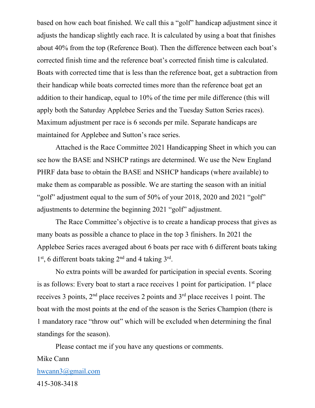based on how each boat finished. We call this a "golf" handicap adjustment since it adjusts the handicap slightly each race. It is calculated by using a boat that finishes about 40% from the top (Reference Boat). Then the difference between each boat's corrected finish time and the reference boat's corrected finish time is calculated. Boats with corrected time that is less than the reference boat, get a subtraction from their handicap while boats corrected times more than the reference boat get an addition to their handicap, equal to 10% of the time per mile difference (this will apply both the Saturday Applebee Series and the Tuesday Sutton Series races). Maximum adjustment per race is 6 seconds per mile. Separate handicaps are maintained for Applebee and Sutton's race series.

 Attached is the Race Committee 2021 Handicapping Sheet in which you can see how the BASE and NSHCP ratings are determined. We use the New England PHRF data base to obtain the BASE and NSHCP handicaps (where available) to make them as comparable as possible. We are starting the season with an initial "golf" adjustment equal to the sum of 50% of your 2018, 2020 and 2021 "golf" adjustments to determine the beginning 2021 "golf" adjustment.

The Race Committee's objective is to create a handicap process that gives as many boats as possible a chance to place in the top 3 finishers. In 2021 the Applebee Series races averaged about 6 boats per race with 6 different boats taking  $1<sup>st</sup>$ , 6 different boats taking  $2<sup>nd</sup>$  and 4 taking  $3<sup>rd</sup>$ .

 No extra points will be awarded for participation in special events. Scoring is as follows: Every boat to start a race receives 1 point for participation.  $1<sup>st</sup>$  place receives 3 points, 2<sup>nd</sup> place receives 2 points and 3<sup>rd</sup> place receives 1 point. The boat with the most points at the end of the season is the Series Champion (there is 1 mandatory race "throw out" which will be excluded when determining the final standings for the season).

Please contact me if you have any questions or comments.

Mike Cann [hwcann3@gmail.com](mailto:hwcann3@gmail.com) 415-308-3418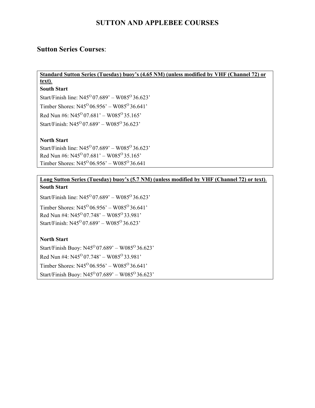#### **SUTTON AND APPLEBEE COURSES**

#### **Sutton Series Courses**:

#### **Standard Sutton Series (Tuesday) buoy's (4.65 NM) (unless modified by VHF (Channel 72) or text)**.

#### **South Start**

Start/Finish line:  $N45^{\circ}07.689' - W085^{\circ}36.623'$ Timber Shores:  $N45^{\circ}06.956' - W085^{\circ}36.641'$ Red Nun #6:  $N45^{\circ}$  07.681' – W085<sup>o</sup> 35.165' Start/Finish:  $N45^{\circ}$  07.689' – W085<sup>o</sup> 36.623'

#### **North Start**

Start/Finish line:  $N45^{\circ}07.689' - W085^{\circ}36.623'$ Red Nun #6:  $N45^{\circ}07.681' - W085^{\circ}35.165'$ Timber Shores:  $N45^{\circ}06.956' - W085^{\circ}36.641$ 

#### **Long Sutton Series (Tuesday) buoy's (5.7 NM) (unless modified by VHF (Channel 72) or text)**. **South Start**

Start/Finish line:  $N45^{\circ}07.689' - W085^{\circ}36.623'$ 

Timber Shores:  $N45^{\circ}06.956' - W085^{\circ}36.641'$ Red Nun #4:  $N45^{\circ}07.748' - W085^{\circ}33.981'$ Start/Finish:  $N45^{\circ}$  07.689' – W085<sup>o</sup> 36.623'

#### **North Start**

Start/Finish Buoy:  $N45^{\circ}$  07.689' – W085 $^{\circ}$ 36.623' Red Nun #4:  $N45^{\circ}07.748' - W085^{\circ}33.981'$ Timber Shores:  $N45^{\circ}06.956' - W085^{\circ}36.641'$ Start/Finish Buoy:  $N45^{\circ}$  07.689' – W085 $^{\circ}$ 36.623'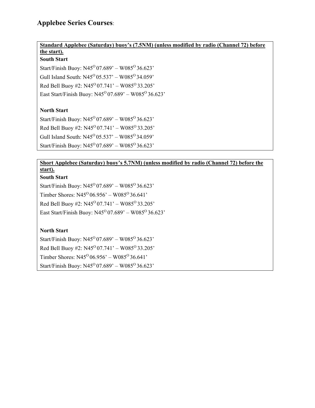#### **Applebee Series Courses**:

**Standard Applebee (Saturday) buoy's (7.5NM) (unless modified by radio (Channel 72) before** 

#### **the start). South Start**

Start/Finish Buoy:  $N45^{\circ}$  07.689' – W085 $^{\circ}$ 36.623' Gull Island South:  $N45^{\circ}05.537' - W085^{\circ}34.059'$ Red Bell Buoy #2:  $N45^{\circ}07.741' - W085^{\circ}33.205'$ East Start/Finish Buoy:  $N45^{\circ}07.689' - W085^{\circ}36.623'$ 

#### **North Start**

Start/Finish Buoy:  $N45^{\circ}$  07.689' – W085 $^{\circ}$ 36.623' Red Bell Buoy #2:  $N45^{\circ}07.741' - W085^{\circ}33.205'$ Gull Island South:  $N45^{\circ}05.537' - W085^{\circ}34.059'$ Start/Finish Buoy:  $N45^{\circ}07.689' - W085^{\circ}36.623'$ 

#### **Short Applebee (Saturday) buoy's 5.7NM) (unless modified by radio (Channel 72) before the start).**

#### **South Start**

Start/Finish Buoy:  $N45^{\circ}$  07.689' – W085 $^{\circ}$ 36.623' Timber Shores:  $N45^{\circ}06.956' - W085^{\circ}36.641'$ Red Bell Buoy #2:  $N45^{\circ}07.741' - W085^{\circ}33.205'$ East Start/Finish Buoy:  $N45^{\circ}07.689' - W085^{\circ}36.623'$ 

#### **North Start**

Start/Finish Buoy:  $N45^{\circ}$  07.689' – W085 $^{\circ}$ 36.623' Red Bell Buoy #2:  $N45^{\circ}07.741' - W085^{\circ}33.205'$ Timber Shores:  $N45^{\circ}06.956' - W085^{\circ}36.641'$ Start/Finish Buoy:  $N45^{\circ}07.689' - W085^{\circ}36.623'$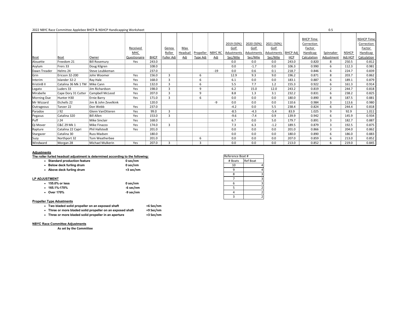#### 2022 NBYC Race Committee Applebee BHCP & NSHCP Handicapping Worksheet 0.5

|                    |                     |                      |                     |             |                |            |                  |                |            |            |            |                 | <b>BHCP Time</b> |                |              | <b>NSHCP Time</b> |
|--------------------|---------------------|----------------------|---------------------|-------------|----------------|------------|------------------|----------------|------------|------------|------------|-----------------|------------------|----------------|--------------|-------------------|
|                    |                     |                      |                     |             |                |            |                  |                | 2019 (50%) | 2020 (50%) | 2021 (50%) |                 | Correction       |                |              | Correction        |
|                    |                     |                      | <b>Received</b>     |             | Genoa          | <b>Max</b> |                  |                | Golf       | Golf       | Golf       |                 | Factor           |                |              | <b>Factor</b>     |
|                    |                     |                      | <b>MHC</b>          |             | Roller         | Headsail   | <b>Propeller</b> | <b>NBYC RC</b> | Adustments | Adustments | Adustments | <b>BHCP Adj</b> | Handicap         | Spinnaker      | <b>NSHCP</b> | <b>Handicap</b>   |
| <b>Boat</b>        | Boat                | Owner                | <b>Questionaire</b> | <b>BHCP</b> | Fuller Adj     | Adj        | <u>Type Adj</u>  | <u>Adj</u>     | Sec/Mile   | Sec/Mile   | Sec/Mile   | HCP             | Calculation      | Adjustment     | Adj HCP      | Calculation       |
| Alouette           | Freedom 21          | Bill Rosemury        | Yes                 | 243.0       |                |            |                  |                | 0.0        | 0.0        | 0.0        | 243.0           | 0.820            | 8              | 250.5        | 0.812             |
| Asylum             | Frers 33            | Doug Kilgren         |                     | 108.0       |                |            |                  |                | 0.0        | $-1.7$     | 0.0        | 106.3           | 0.990            | 6              | 112.3        | 0.981             |
| Dawn Treader       | Helms 24            | Steve Leubkeman      |                     | 237.0       |                |            |                  | $-19$          | 0.0        | 0.6        | 0.1        | 218.7           | 0.846            | 6              | 224.7        | 0.839             |
| Grin               | Ericson 32-200      | John Woomer          | Yes                 | 156.0       | $\mathbf{3}$   |            | 6                |                | 12.9       | 9.3        | 9.0        | 196.2           | 0.871            | 8              | 203.7        | 0.862             |
| Interim            | Islander 32-2       | Ray Hale             | Yes                 | 168.0       | $\overline{3}$ |            | 6                |                | 6.1        | 0.0        | 0.0        | 183.1           | 0.887            | 6              | 189.1        | 0.879             |
| KristinB II        | Catalina 36 Mk 1 TM | Mike Cann            | Yes                 | 132.0       | $\mathbf{3}$   |            | 6                |                | 5.5        | 7.7        | 1.2        | 155.3           | 0.922            | 6              | 161.3        | 0.914             |
| Legato             | Luders 33           | Jim Richardson       | Yes                 | 198.0       | $\mathbf{3}$   |            | 9                |                | $6.2$      | 15.0       | 12.0       | 243.2           | 0.819            | $\overline{2}$ | 244.7        | 0.818             |
| Mirabelle          | Cape Dory 31 Cutter | Campbell McLeod      | Yes                 | 207.0       | $\mathbf{3}$   |            | 9                |                | 8.8        | 1.3        | 3.1        | 232.2           | 0.831            | 6              | 238.2        | 0.825             |
| <b>Morning Due</b> | Hunter H30          | Ernie Barry          | Yes                 | 171.0       | $\mathbf{3}$   |            | 6                |                | 0.0        | 0.0        | 0.0        | 180.0           | 0.890            | 8              | 187.5        | 0.881             |
| Mr Wizzard         | Etchells 22         | Jim & John Zevelkink |                     | 120.0       |                |            |                  | -9             | 0.0        | 0.0        | 0.0        | 110.6           | 0.984            | $\mathbf{3}$   | 113.6        | 0.980             |
| Outrageous         | Tanzer 22           | Don Webb             | Yes                 | 237.0       |                |            |                  |                | $-4.2$     | 0.0        | 5.5        | 238.4           | 0.824            | 6              | 244.4        | 0.818             |
| Paradox            | J <sub>92</sub>     | Glenn VanOtteren     | Yes                 | 99.0        | $\mathbf{3}$   |            |                  |                | $-8.5$     | $-4.3$     | $-5.4$     | 83.9            | 1.025            | 9              | 92.9         | 1.011             |
| Pegasus            | Catalina 320        | <b>Bill Allen</b>    | Yes                 | 153.0       | $\mathbf{3}$   |            |                  |                | $-9.6$     | $-7.4$     | 0.9        | 139.9           | 0.942            | 6              | 145.9        | 0.934             |
| Puff               | J <sub>24</sub>     | Mike Sinclair        | Yes                 | 168.0       |                |            |                  |                | 6.7        | 0.0        | 5.0        | 179.7           | 0.891            | $\mathbf{3}$   | 182.7        | 0.887             |
| Qi Mover           | C&C 29 Mk 1         | Mike Finazzo         | Yes                 | 174.0       | $\mathbf{3}$   |            |                  |                | 7.3        | 6.3        | $-1.2$     | 189.5           | 0.879            | 3              | 192.5        | 0.875             |
| Rapture            | Catalina 22 Capri   | Phil Hallstedt       | Yes                 | 201.0       |                |            |                  |                | 0.0        | 0.0        | 0.0        | 201.0           | 0.866            | 3              | 204.0        | 0.862             |
| Stargazer          | Catalina 30         | Russ Madsen          |                     | 180.0       |                |            |                  |                | 0.0        | 0.0        | 0.0        | 180.0           | 0.890            | 6              | 186.0        | 0.883             |
| Suzy               | Northport 32        | Tom Weatherbee       |                     | 201.0       |                |            | 6                |                | 0.0        | 0.0        | 0.0        | 207.0           | 0.859            | 6              | 213.0        | 0.852             |
| Windward           | Morgan 28           | Michael Mulkerin     | Yes                 | 207.0       | $\mathbf{3}$   |            | $\overline{3}$   |                | 0.0        | 0.0        | 0.0        | 213.0           | 0.852            | 6              | 219.0        | 0.845             |

| The roller furled headsail adjustment is determined according to the following: |            | Reference Boat # |          |
|---------------------------------------------------------------------------------|------------|------------------|----------|
| • Standard production feature                                                   | $0$ sec/nm | # Boats          | Ref Boat |
| • Below deck furling drum                                                       | 0 sec/nm   | 10               |          |
| • Above deck furling drum                                                       | +3 sec/nm  | 9                |          |
|                                                                                 |            | 8                |          |
| <b>LP ADJUSTMENT</b>                                                            |            |                  |          |
| $\cdot$ 155.0% or less                                                          | 0 sec/nm   | ь                |          |
| $\cdot$ 165.1%-170%                                                             | -6 sec/nm  |                  |          |
| $\bullet$ Over 170%                                                             | -9 sec/nm  |                  |          |
|                                                                                 |            |                  |          |

| Reference Boat # |                 |
|------------------|-----------------|
| # Boats          | <b>Ref Boat</b> |
| 10               | 4               |
| 9                | 4               |
| 8                | 3               |
| 7                | $\overline{3}$  |
| 6                | 3               |
| 5                | $\overline{2}$  |
| 4                | $\overline{2}$  |
| 3                | 2               |

#### **Propeller Type Adustments**

| • Two bladed solid propeller on an exposed shaft           | +6 Sec/nm |
|------------------------------------------------------------|-----------|
| • Three or more bladed solid propeller on an exposed shaft | +9 Sec/nm |
| • Three or more bladed solid propeller in an aperture      | +3 Sec/nm |

### **NBYC Race Committee Adjustments**

**As set by the Committee**